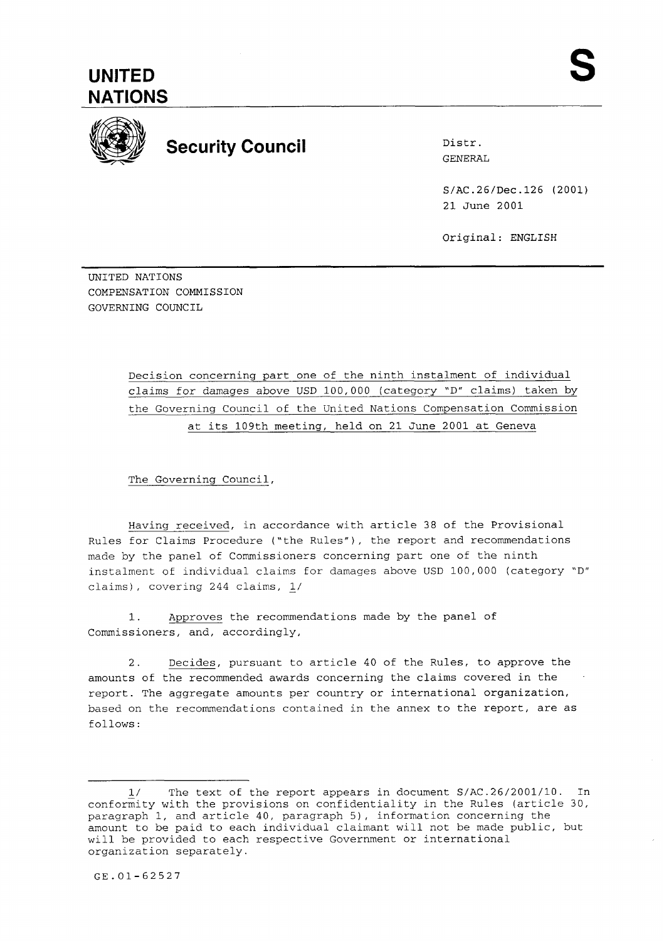**UNITED NATIONS** 



## **Security Council** Distr.

GENERAL

S/AC.26/Dec.126 (2001) 21 June 2001

Original: ENGLISH

UNITED NATIONS COMPENSATION COMMISSION GOVERNING COUNCIL

--

Decision concerning part one of the ninth instalment of individual claims for damages above USD 100,000 (category "D" claims) taken by the Governing Council of the United Nations Compensation Commission at its 109th meeting, held on 21 June 2001 at Geneva

The Governing Council,

Having received, in accordance with article 38 of the Provisional Rules for Claims Procedure ("the Rules"), the report and recommendations made by the panel of Commissioners concerning part one of the ninth instalment of individual claims for damages above USD 100,000 (category "D" claims), covering 244 claims, L/

1. Approves the recommendations made by the panel of Commissioners, and, accordingly,

2. Decides, pursuant to article 40 of the Rules, to approve the amounts of the recommended awards concerning the claims covered in the report. The aggregate amounts per country or international organization, based on the recommendations contained in the annex to the report, are as follows :

<sup>1/</sup> The text of the report appears in document S/AC.26/2001/10. In conformity with the provisions on confidentiality in the Rules (article 30, paragraph 1, and article 40, paragraph 5), information concerning the amount to be paid to each individual claimant will not be made public, but will be provided to each respective Government or international organization separately.